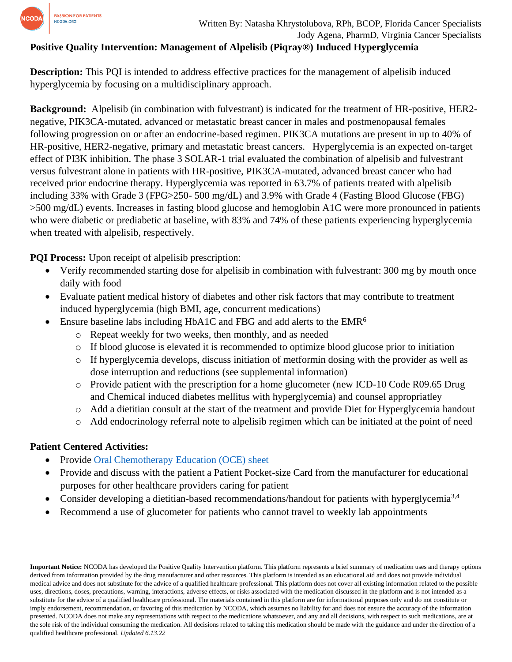

### **Positive Quality Intervention: Management of Alpelisib (Piqray®) Induced Hyperglycemia**

**Description:** This PQI is intended to address effective practices for the management of alpelisib induced hyperglycemia by focusing on a multidisciplinary approach.

**Background:** Alpelisib (in combination with fulvestrant) is indicated for the treatment of HR-positive, HER2 negative, PIK3CA-mutated, advanced or metastatic breast cancer in males and postmenopausal females following progression on or after an endocrine-based regimen. PIK3CA mutations are present in up to 40% of HR-positive, HER2-negative, primary and metastatic breast cancers. Hyperglycemia is an expected on-target effect of PI3K inhibition. The phase 3 SOLAR-1 trial evaluated the combination of alpelisib and fulvestrant versus fulvestrant alone in patients with HR-positive, PIK3CA-mutated, advanced breast cancer who had received prior endocrine therapy. Hyperglycemia was reported in 63.7% of patients treated with alpelisib including 33% with Grade 3 (FPG>250- 500 mg/dL) and 3.9% with Grade 4 (Fasting Blood Glucose (FBG) >500 mg/dL) events. Increases in fasting blood glucose and hemoglobin A1C were more pronounced in patients who were diabetic or prediabetic at baseline, with 83% and 74% of these patients experiencing hyperglycemia when treated with alpelisib, respectively.

**PQI Process:** Upon receipt of alpelisib prescription:

- Verify recommended starting dose for alpelisib in combination with fulvestrant: 300 mg by mouth once daily with food
- Evaluate patient medical history of diabetes and other risk factors that may contribute to treatment induced hyperglycemia (high BMI, age, concurrent medications)
- Ensure baseline labs including HbA1C and FBG and add alerts to the EMR<sup>6</sup>
	- o Repeat weekly for two weeks, then monthly, and as needed
	- o If blood glucose is elevated it is recommended to optimize blood glucose prior to initiation
	- o If hyperglycemia develops, discuss initiation of metformin dosing with the provider as well as dose interruption and reductions (see supplemental information)
	- o Provide patient with the prescription for a home glucometer (new ICD-10 Code R09.65 Drug and Chemical induced diabetes mellitus with hyperglycemia) and counsel appropriatley
	- o Add a dietitian consult at the start of the treatment and provide Diet for Hyperglycemia handout
	- o Add endocrinology referral note to alpelisib regimen which can be initiated at the point of need

## **Patient Centered Activities:**

- Provide [Oral Chemotherapy Education \(OCE\) sheet](https://www.oralchemoedsheets.com/index.php/sheet-library/25-available/brand-name/426-piqray)
- Provide and discuss with the patient a Patient Pocket-size Card from the manufacturer for educational purposes for other healthcare providers caring for patient
- Consider developing a dietitian-based recommendations/handout for patients with hyperglycemia<sup>3,4</sup>
- Recommend a use of glucometer for patients who cannot travel to weekly lab appointments

**Important Notice:** NCODA has developed the Positive Quality Intervention platform. This platform represents a brief summary of medication uses and therapy options derived from information provided by the drug manufacturer and other resources. This platform is intended as an educational aid and does not provide individual medical advice and does not substitute for the advice of a qualified healthcare professional. This platform does not cover all existing information related to the possible uses, directions, doses, precautions, warning, interactions, adverse effects, or risks associated with the medication discussed in the platform and is not intended as a substitute for the advice of a qualified healthcare professional. The materials contained in this platform are for informational purposes only and do not constitute or imply endorsement, recommendation, or favoring of this medication by NCODA, which assumes no liability for and does not ensure the accuracy of the information presented. NCODA does not make any representations with respect to the medications whatsoever, and any and all decisions, with respect to such medications, are at the sole risk of the individual consuming the medication. All decisions related to taking this medication should be made with the guidance and under the direction of a qualified healthcare professional. *Updated 6.13.22*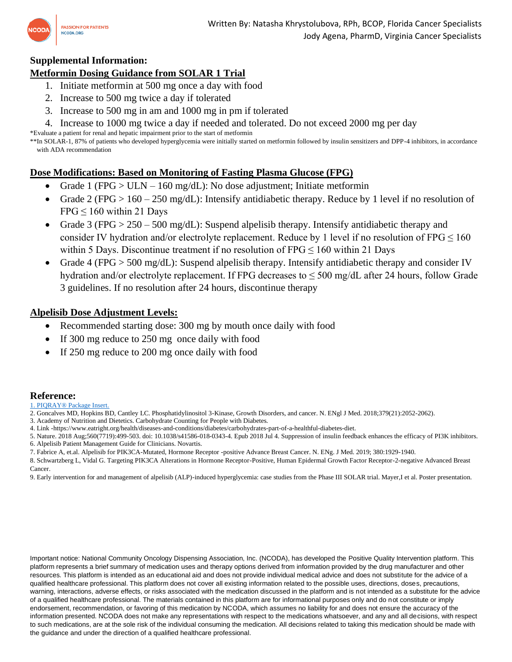

#### **Supplemental Information:**

#### **Metformin Dosing Guidance from SOLAR 1 Trial**

- 1. Initiate metformin at 500 mg once a day with food
- 2. Increase to 500 mg twice a day if tolerated
- 3. Increase to 500 mg in am and 1000 mg in pm if tolerated
- 4. Increase to 1000 mg twice a day if needed and tolerated. Do not exceed 2000 mg per day

\*Evaluate a patient for renal and hepatic impairment prior to the start of metformin

\*\*In SOLAR-1, 87% of patients who developed hyperglycemia were initially started on metformin followed by insulin sensitizers and DPP-4 inhibitors, in accordance with ADA recommendation

#### **Dose Modifications: Based on Monitoring of Fasting Plasma Glucose (FPG)**

- Grade 1 (FPG  $>$  ULN 160 mg/dL): No dose adjustment; Initiate metformin
- Grade 2 (FPG > 160 250 mg/dL): Intensify antidiabetic therapy. Reduce by 1 level if no resolution of  $FPG \le 160$  within 21 Days
- Grade 3 (FPG > 250 500 mg/dL): Suspend alpelisib therapy. Intensify antidiabetic therapy and consider IV hydration and/or electrolyte replacement. Reduce by 1 level if no resolution of  $FPG \le 160$ within 5 Days. Discontinue treatment if no resolution of  $FPG \le 160$  within 21 Days
- Grade 4 (FPG  $>$  500 mg/dL): Suspend alpelisib therapy. Intensify antidiabetic therapy and consider IV hydration and/or electrolyte replacement. If FPG decreases to  $\leq$  500 mg/dL after 24 hours, follow Grade 3 guidelines. If no resolution after 24 hours, discontinue therapy

#### **Alpelisib Dose Adjustment Levels:**

- Recommended starting dose: 300 mg by mouth once daily with food
- If 300 mg reduce to 250 mg once daily with food
- If 250 mg reduce to 200 mg once daily with food

#### **Reference:**

[1. PIQRAY® Package Insert.](https://www.accessdata.fda.gov/drugsatfda_docs/label/2019/212526s000lbl.pdf)

- 2. Goncalves MD, Hopkins BD, Cantley LC. Phosphatidylinositol 3-Kinase, Growth Disorders, and cancer. N. ENgl J Med. 2018;379(21):2052-2062).
- 3. Academy of Nutrition and Dietetics. Carbohydrate Counting for People with Diabetes.
- 4. Link -https://www.eatright.org/health/diseases-and-conditions/diabetes/carbohydrates-part-of-a-healthful-diabetes-diet.
- 5. Nature. 2018 Aug;560(7719):499-503. doi: 10.1038/s41586-018-0343-4. Epub 2018 Jul 4. Suppression of insulin feedback enhances the efficacy of PI3K inhibitors. 6. Alpelisib Patient Management Guide for Clinicians. Novartis.
- 7. Fabrice A, et.al. Alpelisib for PIK3CA-Mutated, Hormone Receptor -positive Advance Breast Cancer. N. ENg. J Med. 2019; 380:1929-1940.

8. Schwartzberg L, Vidal G. Targeting PIK3CA Alterations in Hormone Receptor-Positive, Human Epidermal Growth Factor Receptor-2-negative Advanced Breast Cancer.

9. Early intervention for and management of alpelisib (ALP)-induced hyperglycemia: case studies from the Phase III SOLAR trial. Mayer,I et al. Poster presentation.

Important notice: National Community Oncology Dispensing Association, Inc. (NCODA), has developed the Positive Quality Intervention platform. This platform represents a brief summary of medication uses and therapy options derived from information provided by the drug manufacturer and other resources. This platform is intended as an educational aid and does not provide individual medical advice and does not substitute for the advice of a qualified healthcare professional. This platform does not cover all existing information related to the possible uses, directions, doses, precautions, warning, interactions, adverse effects, or risks associated with the medication discussed in the platform and is not intended as a substitute for the advice of a qualified healthcare professional. The materials contained in this platform are for informational purposes only and do not constitute or imply endorsement, recommendation, or favoring of this medication by NCODA, which assumes no liability for and does not ensure the accuracy of the information presented. NCODA does not make any representations with respect to the medications whatsoever, and any and all decisions, with respect to such medications, are at the sole risk of the individual consuming the medication. All decisions related to taking this medication should be made with the guidance and under the direction of a qualified healthcare professional.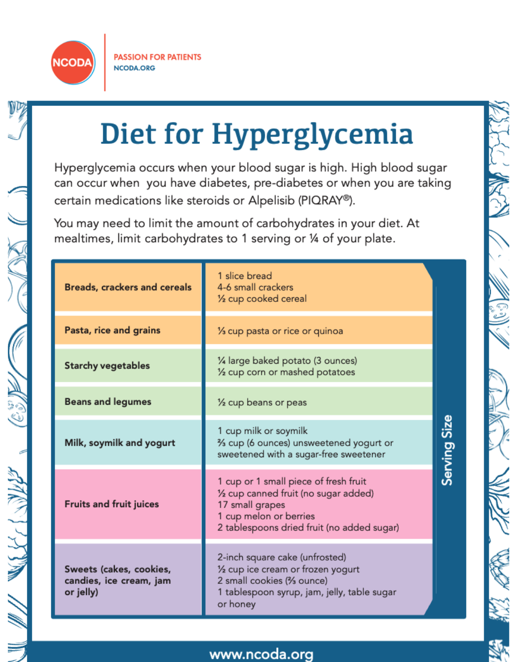

ده<br>في

ANNI 1777

# Diet for Hyperglycemia

Hyperglycemia occurs when your blood sugar is high. High blood sugar can occur when you have diabetes, pre-diabetes or when you are taking certain medications like steroids or Alpelisib (PIQRAY®).

You may need to limit the amount of carbohydrates in your diet. At mealtimes, limit carbohydrates to 1 serving or 1/4 of your plate.

| <b>Breads, crackers and cereals</b>                             | 1 slice bread<br>4-6 small crackers<br>1/2 cup cooked cereal                                                                                                              |              |
|-----------------------------------------------------------------|---------------------------------------------------------------------------------------------------------------------------------------------------------------------------|--------------|
| Pasta, rice and grains                                          | 1/ <sub>3</sub> cup pasta or rice or quinoa                                                                                                                               |              |
| <b>Starchy vegetables</b>                                       | 1⁄4 large baked potato (3 ounces)<br>1/2 cup corn or mashed potatoes                                                                                                      |              |
| <b>Beans and legumes</b>                                        | 1/ <sub>2</sub> cup beans or peas                                                                                                                                         |              |
| Milk, soymilk and yogurt                                        | 1 cup milk or soymilk<br>% cup (6 ounces) unsweetened yogurt or<br>sweetened with a sugar-free sweetener                                                                  | Serving Size |
| <b>Fruits and fruit juices</b>                                  | 1 cup or 1 small piece of fresh fruit<br>1/2 cup canned fruit (no sugar added)<br>17 small grapes<br>1 cup melon or berries<br>2 tablespoons dried fruit (no added sugar) |              |
| Sweets (cakes, cookies,<br>candies, ice cream, jam<br>or jelly) | 2-inch square cake (unfrosted)<br>1/2 cup ice cream or frozen yogurt<br>2 small cookies (% ounce)<br>1 tablespoon syrup, jam, jelly, table sugar<br>or honey              |              |